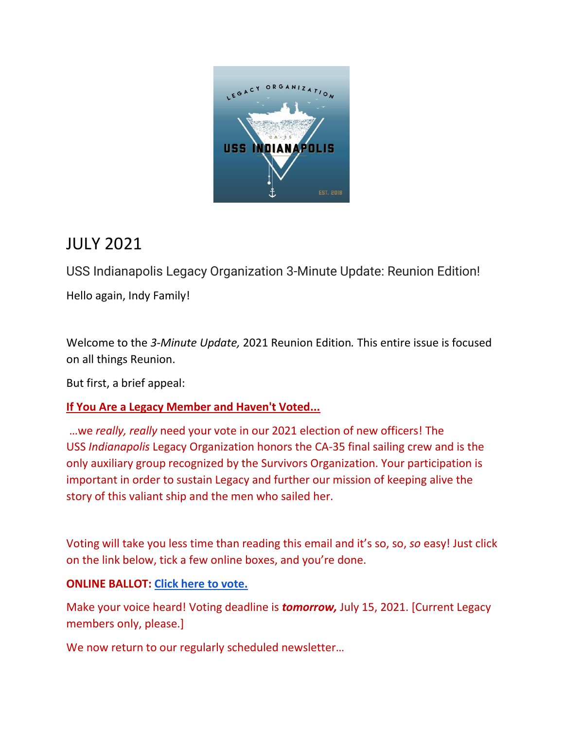

# JULY 2021

USS Indianapolis Legacy Organization 3-Minute Update: Reunion Edition! Hello again, Indy Family!

Welcome to the *3-Minute Update,* 2021 Reunion Edition*.* This entire issue is focused on all things Reunion.

But first, a brief appeal:

### **If You Are a Legacy Member and Haven't Voted...**

…we *really, really* need your vote in our 2021 election of new officers! The USS *Indianapolis* Legacy Organization honors the CA-35 final sailing crew and is the only auxiliary group recognized by the Survivors Organization. Your participation is important in order to sustain Legacy and further our mission of keeping alive the story of this valiant ship and the men who sailed her.

Voting will take you less time than reading this email and it's so, so, *so* easy! Just click on the link below, tick a few online boxes, and you're done.

#### **ONLINE BALLOT: [Click here to vote.](https://www.surveymonkey.com/r/2021MembershipProxy)**

Make your voice heard! Voting deadline is *tomorrow,* July 15, 2021. [Current Legacy members only, please.]

We now return to our regularly scheduled newsletter...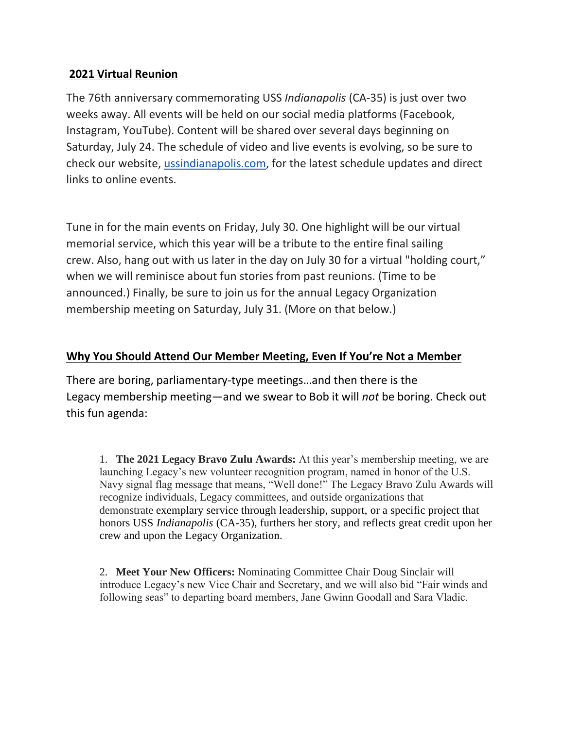#### **2021 Virtual Reunion**

The 76th anniversary commemorating USS *Indianapolis* (CA-35) is just over two weeks away. All events will be held on our social media platforms (Facebook, Instagram, YouTube). Content will be shared over several days beginning on Saturday, July 24. The schedule of video and live events is evolving, so be sure to check our website, [ussindianapolis.com,](http://ussindianapolis.com/) for the latest schedule updates and direct links to online events.

Tune in for the main events on Friday, July 30. One highlight will be our virtual memorial service, which this year will be a tribute to the entire final sailing crew. Also, hang out with us later in the day on July 30 for a virtual "holding court," when we will reminisce about fun stories from past reunions. (Time to be announced.) Finally, be sure to join us for the annual Legacy Organization membership meeting on Saturday, July 31. (More on that below.)

#### **Why You Should Attend Our Member Meeting, Even If You're Not a Member**

There are boring, parliamentary-type meetings…and then there is the Legacy membership meeting—and we swear to Bob it will *not* be boring. Check out this fun agenda:

1. **The 2021 Legacy Bravo Zulu Awards:** At this year's membership meeting, we are launching Legacy's new volunteer recognition program, named in honor of the U.S. Navy signal flag message that means, "Well done!" The Legacy Bravo Zulu Awards will recognize individuals, Legacy committees, and outside organizations that demonstrate exemplary service through leadership, support, or a specific project that honors USS *Indianapolis* (CA-35), furthers her story, and reflects great credit upon her crew and upon the Legacy Organization.

2. **Meet Your New Officers:** Nominating Committee Chair Doug Sinclair will introduce Legacy's new Vice Chair and Secretary, and we will also bid "Fair winds and following seas" to departing board members, Jane Gwinn Goodall and Sara Vladic.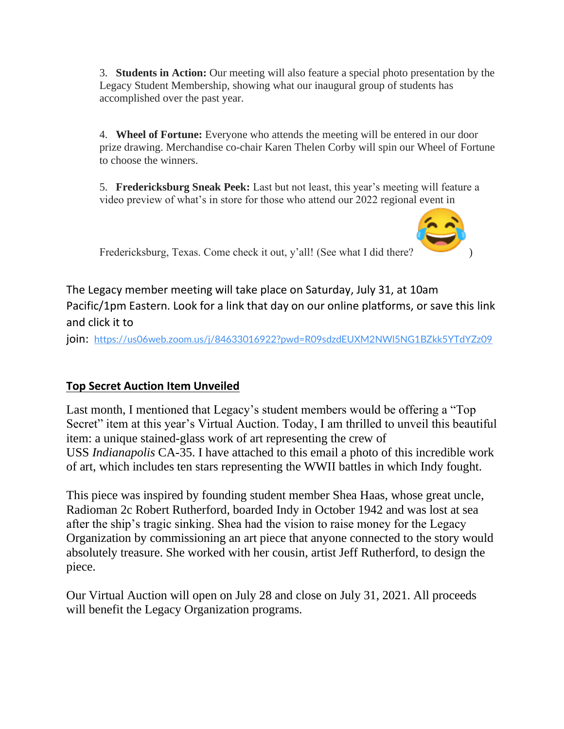3. **Students in Action:** Our meeting will also feature a special photo presentation by the Legacy Student Membership, showing what our inaugural group of students has accomplished over the past year.

4. **Wheel of Fortune:** Everyone who attends the meeting will be entered in our door prize drawing. Merchandise co-chair Karen Thelen Corby will spin our Wheel of Fortune to choose the winners.

5. **Fredericksburg Sneak Peek:** Last but not least, this year's meeting will feature a video preview of what's in store for those who attend our 2022 regional event in



Fredericksburg, Texas. Come check it out, y'all! (See what I did there?

The Legacy member meeting will take place on Saturday, July 31, at 10am Pacific/1pm Eastern. Look for a link that day on our online platforms, or save this link and click it to

join: <https://us06web.zoom.us/j/84633016922?pwd=R09sdzdEUXM2NWl5NG1BZkk5YTdYZz09>

### **Top Secret Auction Item Unveiled**

Last month, I mentioned that Legacy's student members would be offering a "Top Secret" item at this year's Virtual Auction. Today, I am thrilled to unveil this beautiful item: a unique stained-glass work of art representing the crew of USS *Indianapolis* CA-35. I have attached to this email a photo of this incredible work of art, which includes ten stars representing the WWII battles in which Indy fought.

This piece was inspired by founding student member Shea Haas, whose great uncle, Radioman 2c Robert Rutherford, boarded Indy in October 1942 and was lost at sea after the ship's tragic sinking. Shea had the vision to raise money for the Legacy Organization by commissioning an art piece that anyone connected to the story would absolutely treasure. She worked with her cousin, artist Jeff Rutherford, to design the piece.

Our Virtual Auction will open on July 28 and close on July 31, 2021. All proceeds will benefit the Legacy Organization programs.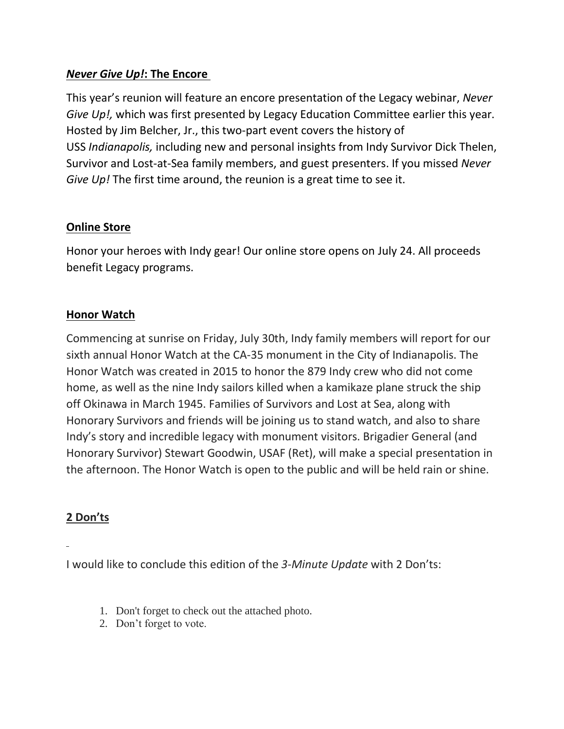#### *Never Give Up!***: The Encore**

This year's reunion will feature an encore presentation of the Legacy webinar, *Never Give Up!,* which was first presented by Legacy Education Committee earlier this year. Hosted by Jim Belcher, Jr., this two-part event covers the history of USS *Indianapolis,* including new and personal insights from Indy Survivor Dick Thelen, Survivor and Lost-at-Sea family members, and guest presenters. If you missed *Never Give Up!* The first time around, the reunion is a great time to see it.

#### **Online Store**

Honor your heroes with Indy gear! Our online store opens on July 24. All proceeds benefit Legacy programs.

#### **Honor Watch**

Commencing at sunrise on Friday, July 30th, Indy family members will report for our sixth annual Honor Watch at the CA-35 monument in the City of Indianapolis. The Honor Watch was created in 2015 to honor the 879 Indy crew who did not come home, as well as the nine Indy sailors killed when a kamikaze plane struck the ship off Okinawa in March 1945. Families of Survivors and Lost at Sea, along with Honorary Survivors and friends will be joining us to stand watch, and also to share Indy's story and incredible legacy with monument visitors. Brigadier General (and Honorary Survivor) Stewart Goodwin, USAF (Ret), will make a special presentation in the afternoon. The Honor Watch is open to the public and will be held rain or shine.

#### **2 Don'ts**

I would like to conclude this edition of the *3-Minute Update* with 2 Don'ts:

- 1. Don't forget to check out the attached photo.
- 2. Don't forget to vote.